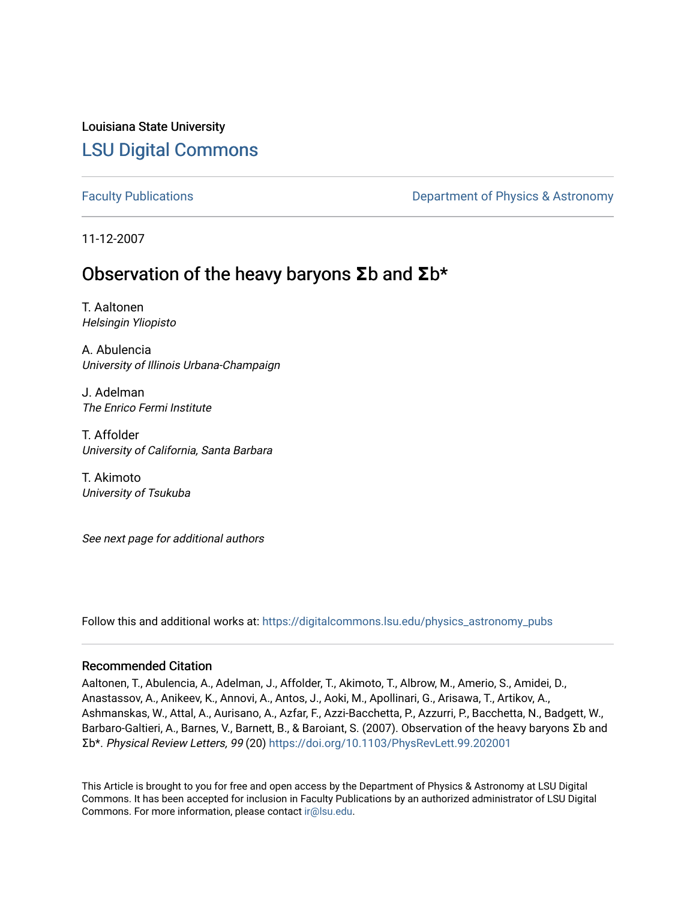## Louisiana State University [LSU Digital Commons](https://digitalcommons.lsu.edu/)

[Faculty Publications](https://digitalcommons.lsu.edu/physics_astronomy_pubs) **Exercise 2 and Table 2 and Table 2 and Table 2 and Table 2 and Table 2 and Table 2 and Table 2 and Table 2 and Table 2 and Table 2 and Table 2 and Table 2 and Table 2 and Table 2 and Table 2 and Table** 

11-12-2007

# Observation of the heavy baryons **Σ**b and **Σ**b\*

T. Aaltonen Helsingin Yliopisto

A. Abulencia University of Illinois Urbana-Champaign

J. Adelman The Enrico Fermi Institute

T. Affolder University of California, Santa Barbara

T. Akimoto University of Tsukuba

See next page for additional authors

Follow this and additional works at: [https://digitalcommons.lsu.edu/physics\\_astronomy\\_pubs](https://digitalcommons.lsu.edu/physics_astronomy_pubs?utm_source=digitalcommons.lsu.edu%2Fphysics_astronomy_pubs%2F2526&utm_medium=PDF&utm_campaign=PDFCoverPages) 

#### Recommended Citation

Aaltonen, T., Abulencia, A., Adelman, J., Affolder, T., Akimoto, T., Albrow, M., Amerio, S., Amidei, D., Anastassov, A., Anikeev, K., Annovi, A., Antos, J., Aoki, M., Apollinari, G., Arisawa, T., Artikov, A., Ashmanskas, W., Attal, A., Aurisano, A., Azfar, F., Azzi-Bacchetta, P., Azzurri, P., Bacchetta, N., Badgett, W., Barbaro-Galtieri, A., Barnes, V., Barnett, B., & Baroiant, S. (2007). Observation of the heavy baryons Σb and Σb\*. Physical Review Letters, 99 (20) <https://doi.org/10.1103/PhysRevLett.99.202001>

This Article is brought to you for free and open access by the Department of Physics & Astronomy at LSU Digital Commons. It has been accepted for inclusion in Faculty Publications by an authorized administrator of LSU Digital Commons. For more information, please contact [ir@lsu.edu](mailto:ir@lsu.edu).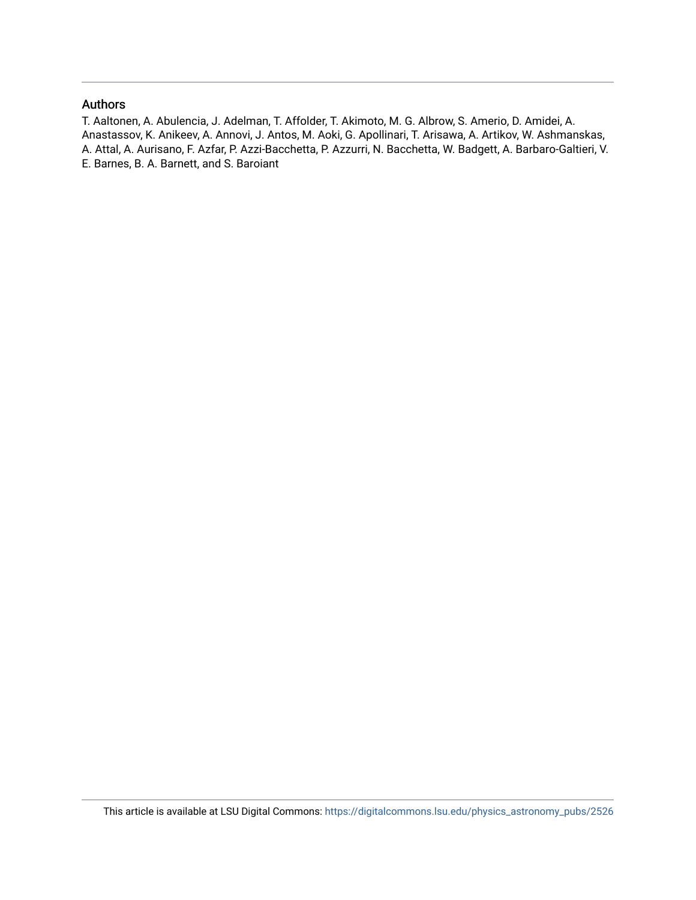### Authors

T. Aaltonen, A. Abulencia, J. Adelman, T. Affolder, T. Akimoto, M. G. Albrow, S. Amerio, D. Amidei, A. Anastassov, K. Anikeev, A. Annovi, J. Antos, M. Aoki, G. Apollinari, T. Arisawa, A. Artikov, W. Ashmanskas, A. Attal, A. Aurisano, F. Azfar, P. Azzi-Bacchetta, P. Azzurri, N. Bacchetta, W. Badgett, A. Barbaro-Galtieri, V. E. Barnes, B. A. Barnett, and S. Baroiant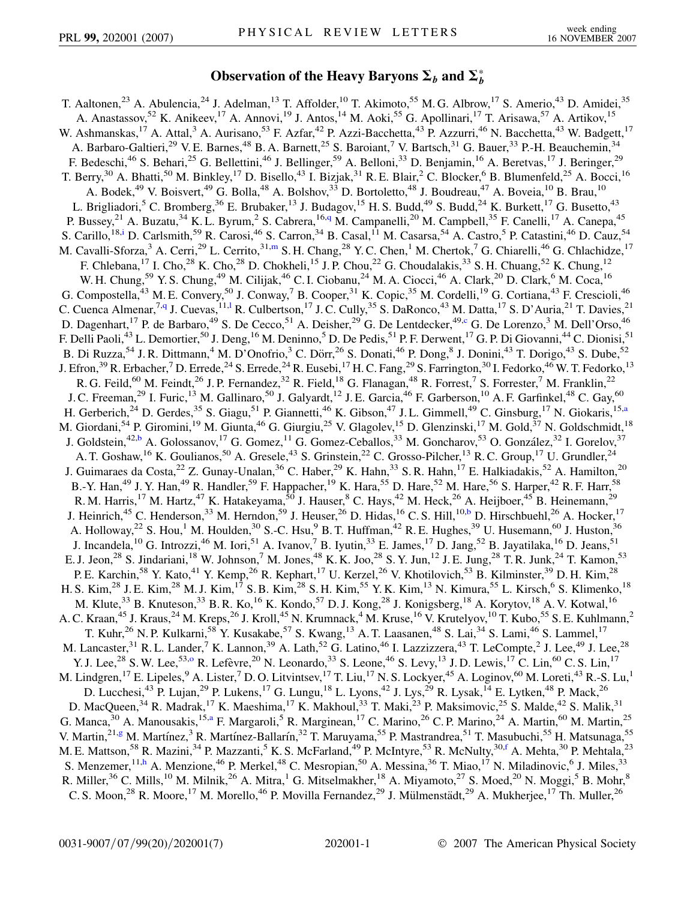## Observation of the Heavy Baryons  $\Sigma_b$  and  $\Sigma_b^*$

<span id="page-2-9"></span><span id="page-2-8"></span><span id="page-2-7"></span><span id="page-2-6"></span><span id="page-2-5"></span><span id="page-2-4"></span><span id="page-2-3"></span><span id="page-2-2"></span><span id="page-2-1"></span><span id="page-2-0"></span>T. Aaltonen,<sup>23</sup> A. Abulencia,<sup>24</sup> J. Adelman,<sup>13</sup> T. Affolder,<sup>10</sup> T. Akimoto,<sup>55</sup> M. G. Albrow,<sup>17</sup> S. Amerio,<sup>43</sup> D. Amidei,<sup>35</sup> A. Anastassov,<sup>52</sup> K. Anikeev,<sup>17</sup> A. Annovi,<sup>19</sup> J. Antos,<sup>14</sup> M. Aoki,<sup>55</sup> G. Apollinari,<sup>17</sup> T. Arisawa,<sup>57</sup> A. Artikov,<sup>15</sup> W. Ashmanskas,<sup>17</sup> A. Attal,<sup>3</sup> A. Aurisano,<sup>53</sup> F. Azfar,<sup>42</sup> P. Azzi-Bacchetta,<sup>43</sup> P. Azzurri,<sup>46</sup> N. Bacchetta,<sup>43</sup> W. Badgett,<sup>17</sup> A. Barbaro-Galtieri,<sup>29</sup> V. E. Barnes,<sup>48</sup> B. A. Barnett,<sup>25</sup> S. Baroiant,<sup>7</sup> V. Bartsch,<sup>31</sup> G. Bauer,<sup>33</sup> P.-H. Beauchemin,<sup>34</sup> F. Bedeschi,<sup>46</sup> S. Behari,<sup>25</sup> G. Bellettini,<sup>46</sup> J. Bellinger,<sup>59</sup> A. Belloni,<sup>33</sup> D. Benjamin,<sup>16</sup> A. Beretvas,<sup>17</sup> J. Beringer,<sup>29</sup> T. Berry,<sup>30</sup> A. Bhatti,<sup>50</sup> M. Binkley,<sup>17</sup> D. Bisello,<sup>43</sup> I. Bizjak,<sup>31</sup> R. E. Blair,<sup>2</sup> C. Blocker,<sup>6</sup> B. Blumenfeld,<sup>25</sup> A. Bocci,<sup>16</sup> A. Bodek,<sup>49</sup> V. Boisvert,<sup>49</sup> G. Bolla,<sup>48</sup> A. Bolshov,<sup>33</sup> D. Bortoletto,<sup>48</sup> J. Boudreau,<sup>47</sup> A. Boveia,<sup>10</sup> B. Brau,<sup>10</sup> L. Brigliadori,<sup>5</sup> C. Bromberg,<sup>36</sup> E. Brubaker,<sup>13</sup> J. Budagov,<sup>15</sup> H. S. Budd,<sup>49</sup> S. Budd,<sup>24</sup> K. Burkett,<sup>17</sup> G. Busetto,<sup>43</sup> P. Bussey,<sup>21</sup> A. Buzatu,<sup>34</sup> K. L. Byrum,<sup>2</sup> S. Cabrera,<sup>16,[q](#page-8-0)</sup> M. Campanelli,<sup>20</sup> M. Campbell,<sup>35</sup> F. Canelli,<sup>17</sup> A. Canepa,<sup>45</sup> S. Carillo,<sup>18[,i](#page-8-1)</sup> D. Carlsmith,<sup>59</sup> R. Carosi,<sup>46</sup> S. Carron,<sup>34</sup> B. Casal,<sup>11</sup> M. Casarsa,<sup>54</sup> A. Castro,<sup>5</sup> P. Catastini,<sup>46</sup> D. Cauz,<sup>54</sup> M. Cavalli-Sforza,<sup>3</sup> A. Cerri,<sup>29</sup> L. Cerrito,<sup>31,[m](#page-8-2)</sup> S. H. Chang,<sup>28</sup> Y. C. Chen,<sup>1</sup> M. Chertok,<sup>7</sup> G. Chiarelli,<sup>46</sup> G. Chlachidze,<sup>17</sup> F. Chlebana,<sup>17</sup> I. Cho,<sup>28</sup> K. Cho,<sup>28</sup> D. Chokheli,<sup>15</sup> J. P. Chou,<sup>22</sup> G. Choudalakis,<sup>33</sup> S. H. Chuang,<sup>52</sup> K. Chung,<sup>12</sup> W. H. Chung,<sup>59</sup> Y. S. Chung,<sup>49</sup> M. Cilijak,<sup>46</sup> C. I. Ciobanu,<sup>24</sup> M. A. Ciocci,<sup>46</sup> A. Clark,<sup>20</sup> D. Clark,<sup>6</sup> M. Coca,<sup>16</sup> G. Compostella,<sup>43</sup> M. E. Convery,<sup>50</sup> J. Conway,<sup>7</sup> B. Cooper,<sup>31</sup> K. Copic,<sup>35</sup> M. Cordelli,<sup>19</sup> G. Cortiana,<sup>43</sup> F. Crescioli,<sup>46</sup> C. Cuenca Almenar,<sup>7[,q](#page-8-0)</sup> J. Cuevas,<sup>11,1</sup> R. Cu[l](#page-8-3)bertson,<sup>17</sup> J.C. Cully,<sup>35</sup> S. DaRonco,<sup>43</sup> M. Datta,<sup>17</sup> S. D'Auria,<sup>21</sup> T. Davies,<sup>21</sup> D. Dagenhart,<sup>17</sup> P. de Barbaro,<sup>49</sup> S. De Cecco,<sup>51</sup> A. Deisher,<sup>29</sup> G. De Lentdecker,<sup>49[,c](#page-8-4)</sup> G. De Lorenzo,<sup>3</sup> M. Dell'Orso,<sup>46</sup> F. Delli Paoli,<sup>43</sup> L. Demortier,<sup>50</sup> J. Deng,<sup>16</sup> M. Deninno,<sup>5</sup> D. De Pedis,<sup>51</sup> P. F. Derwent,<sup>17</sup> G. P. Di Giovanni,<sup>44</sup> C. Dionisi,<sup>51</sup> B. Di Ruzza,<sup>54</sup> J. R. Dittmann,<sup>4</sup> M. D'Onofrio,<sup>3</sup> C. Dörr,<sup>26</sup> S. Donati,<sup>46</sup> P. Dong,<sup>8</sup> J. Donini,<sup>43</sup> T. Dorigo,<sup>43</sup> S. Dube,<sup>52</sup> J. Efron,<sup>39</sup> R. Erbacher,<sup>7</sup> D. Errede,<sup>24</sup> S. Errede,<sup>24</sup> R. Eusebi,<sup>17</sup> H. C. Fang,<sup>29</sup> S. Farrington,<sup>30</sup> I. Fedorko,<sup>46</sup> W. T. Fedorko,<sup>13</sup> R. G. Feild,<sup>60</sup> M. Feindt,<sup>26</sup> J. P. Fernandez,<sup>32</sup> R. Field,<sup>18</sup> G. Flanagan,<sup>48</sup> R. Forrest,<sup>7</sup> S. Forrester,<sup>7</sup> M. Franklin,<sup>22</sup> J. C. Freeman,<sup>29</sup> I. Furic,<sup>13</sup> M. Gallinaro,<sup>50</sup> J. Galyardt,<sup>12</sup> J. E. Garcia,<sup>46</sup> F. Garberson,<sup>10</sup> A. F. Garfinkel,<sup>48</sup> C. Gay,<sup>60</sup> H. Gerberich,<sup>24</sup> D. Gerdes,<sup>35</sup> S. Giagu,<sup>51</sup> P. Giannetti,<sup>46</sup> K. Gibson,<sup>47</sup> J.L. Gimmell,<sup>49</sup> C. Ginsburg,<sup>17</sup> N. Giokaris,<sup>15[,a](#page-8-5)</sup> M. Giordani,<sup>54</sup> P. Giromini,<sup>19</sup> M. Giunta,<sup>46</sup> G. Giurgiu,<sup>25</sup> V. Glagolev,<sup>15</sup> D. Glenzinski,<sup>17</sup> M. Gold,<sup>37</sup> N. Goldschmidt,<sup>18</sup> J. Goldstein,<sup>42[,b](#page-8-6)</sup> A. Golossanov,<sup>17</sup> G. Gomez,<sup>11</sup> G. Gomez-Ceballos,<sup>33</sup> M. Goncharov,<sup>53</sup> O. González,<sup>32</sup> I. Gorelov,<sup>37</sup> A. T. Goshaw, <sup>16</sup> K. Goulianos, <sup>50</sup> A. Gresele, <sup>43</sup> S. Grinstein, <sup>22</sup> C. Grosso-Pilcher, <sup>13</sup> R. C. Group, <sup>17</sup> U. Grundler, <sup>24</sup> J. Guimaraes da Costa,<sup>22</sup> Z. Gunay-Unalan,<sup>36</sup> C. Haber,<sup>29</sup> K. Hahn,<sup>33</sup> S. R. Hahn,<sup>17</sup> E. Halkiadakis,<sup>52</sup> A. Hamilton,<sup>20</sup> B.-Y. Han,<sup>49</sup> J. Y. Han,<sup>49</sup> R. Handler,<sup>59</sup> F. Happacher,<sup>19</sup> K. Hara,<sup>55</sup> D. Hare,<sup>52</sup> M. Hare,<sup>56</sup> S. Harper,<sup>42</sup> R. F. Harr,<sup>58</sup> R. M. Harris,<sup>17</sup> M. Hartz,<sup>47</sup> K. Hatakeyama,<sup>50</sup> J. Hauser,<sup>8</sup> C. Hays,<sup>42</sup> M. Heck,<sup>26</sup> A. Heijboer,<sup>45</sup> B. Heinemann,<sup>29</sup> J. Heinrich,<sup>45</sup> C. Henderson,<sup>33</sup> M. Herndon,<sup>59</sup> J. Heuser,<sup>26</sup> D. Hidas,<sup>16</sup> C. S. Hill,<sup>10,[b](#page-8-6)</sup> D. Hirschbuehl,<sup>26</sup> A. Hocker,<sup>17</sup> A. Holloway,<sup>22</sup> S. Hou,<sup>1</sup> M. Houlden,<sup>30</sup> S.-C. Hsu,<sup>9</sup> B. T. Huffman,<sup>42</sup> R. E. Hughes,<sup>39</sup> U. Husemann,<sup>60</sup> J. Huston,<sup>36</sup> J. Incandela,  $^{10}$  G. Introzzi,  $^{46}$  M. Iori,  $^{51}$  A. Ivanov,  $^{7}$  B. Iyutin,  $^{33}$  E. James,  $^{17}$  D. Jang,  $^{52}$  B. Jayatilaka,  $^{16}$  D. Jeans,  $^{51}$ E. J. Jeon,<sup>28</sup> S. Jindariani,<sup>18</sup> W. Johnson,<sup>7</sup> M. Jones,<sup>48</sup> K. K. Joo,<sup>28</sup> S. Y. Jun,<sup>12</sup> J. E. Jung,<sup>28</sup> T. R. Junk,<sup>24</sup> T. Kamon,<sup>53</sup> P. E. Karchin,<sup>58</sup> Y. Kato,<sup>41</sup> Y. Kemp,<sup>26</sup> R. Kephart,<sup>17</sup> U. Kerzel,<sup>26</sup> V. Khotilovich,<sup>53</sup> B. Kilminster,<sup>39</sup> D. H. Kim,<sup>28</sup> H. S. Kim,<sup>28</sup> J. E. Kim,<sup>28</sup> M. J. Kim,<sup>17</sup> S. B. Kim,<sup>28</sup> S. H. Kim,<sup>55</sup> Y. K. Kim,<sup>13</sup> N. Kimura,<sup>55</sup> L. Kirsch,<sup>6</sup> S. Klimenko,<sup>18</sup> M. Klute,<sup>33</sup> B. Knuteson,<sup>33</sup> B. R. Ko,<sup>16</sup> K. Kondo,<sup>57</sup> D. J. Kong,<sup>28</sup> J. Konigsberg,<sup>18</sup> A. Korytov,<sup>18</sup> A. V. Kotwal,<sup>16</sup> A. C. Kraan,<sup>45</sup> J. Kraus,<sup>24</sup> M. Kreps,<sup>26</sup> J. Kroll,<sup>45</sup> N. Krumnack,<sup>4</sup> M. Kruse,<sup>16</sup> V. Krutelyov,<sup>10</sup> T. Kubo,<sup>55</sup> S. E. Kuhlmann,<sup>2</sup> T. Kuhr,<sup>26</sup> N. P. Kulkarni,<sup>58</sup> Y. Kusakabe,<sup>57</sup> S. Kwang,<sup>13</sup> A. T. Laasanen,<sup>48</sup> S. Lai,<sup>34</sup> S. Lami,<sup>46</sup> S. Lammel,<sup>17</sup> M. Lancaster,<sup>31</sup> R. L. Lander,<sup>7</sup> K. Lannon,<sup>39</sup> A. Lath,<sup>52</sup> G. Latino,<sup>46</sup> I. Lazzizzera,<sup>43</sup> T. LeCompte,<sup>2</sup> J. Lee,<sup>49</sup> J. Lee,<sup>28</sup> Y. J. Lee,<sup>28</sup> S. W. Lee,<sup>53,[o](#page-8-7)</sup> R. Lefèvre,<sup>20</sup> N. Leonardo,<sup>33</sup> S. Leone,<sup>46</sup> S. Levy,<sup>13</sup> J. D. Lewis,<sup>17</sup> C. Lin,<sup>60</sup> C. S. Lin,<sup>17</sup> M. Lindgren, <sup>17</sup> E. Lipeles, <sup>9</sup> A. Lister, <sup>7</sup> D. O. Litvintsev, <sup>17</sup> T. Liu, <sup>17</sup> N. S. Lockyer, <sup>45</sup> A. Loginov, <sup>60</sup> M. Loreti, <sup>43</sup> R.-S. Lu, <sup>1</sup> D. Lucchesi,<sup>43</sup> P. Lujan,<sup>29</sup> P. Lukens,<sup>17</sup> G. Lungu,<sup>18</sup> L. Lyons,<sup>42</sup> J. Lys,<sup>29</sup> R. Lysak,<sup>14</sup> E. Lytken,<sup>48</sup> P. Mack,<sup>26</sup> D. MacQueen,<sup>34</sup> R. Madrak,<sup>17</sup> K. Maeshima,<sup>17</sup> K. Makhoul,<sup>33</sup> T. Maki,<sup>23</sup> P. Maksimovic,<sup>25</sup> S. Malde,<sup>42</sup> S. Malik,<sup>31</sup> G. Manca,<sup>30</sup> A. Manousakis,<sup>15[,a](#page-8-5)</sup> F. Margaroli,<sup>5</sup> R. Marginean,<sup>17</sup> C. Marino,<sup>26</sup> C.P. Marino,<sup>24</sup> A. Martin,<sup>60</sup> M. Martin,<sup>25</sup> V. Martin,<sup>21[,g](#page-8-8)</sup> M. Martínez,<sup>3</sup> R. Martínez-Ballarín,<sup>32</sup> T. Maruyama,<sup>55</sup> P. Mastrandrea,<sup>51</sup> T. Masubuchi,<sup>55</sup> H. Matsunaga,<sup>55</sup> M. E. Mattson,<sup>58</sup> R. Mazini,<sup>34</sup> P. Mazzanti,<sup>5</sup> K. S. McFarland,<sup>49</sup> P. McIntyre,<sup>53</sup> R. McNulty,<sup>30[,f](#page-8-9)</sup> A. Mehta,<sup>30</sup> P. Mehtala,<sup>23</sup> S. Menzemer, <sup>11[,h](#page-8-10)</sup> A. Menzione, <sup>46</sup> P. Merkel, <sup>48</sup> C. Mesropian, <sup>50</sup> A. Messina, <sup>36</sup> T. Miao, <sup>17</sup> N. Miladinovic, <sup>6</sup> J. Miles, <sup>33</sup> R. Miller,<sup>36</sup> C. Mills,<sup>10</sup> M. Milnik,<sup>26</sup> A. Mitra,<sup>1</sup> G. Mitselmakher,<sup>18</sup> A. Miyamoto,<sup>27</sup> S. Moed,<sup>20</sup> N. Moggi,<sup>5</sup> B. Mohr,<sup>8</sup> C. S. Moon,<sup>28</sup> R. Moore,<sup>17</sup> M. Morello,<sup>46</sup> P. Movilla Fernandez,<sup>29</sup> J. Mülmenstädt,<sup>29</sup> A. Mukherjee,<sup>17</sup> Th. Muller,<sup>26</sup>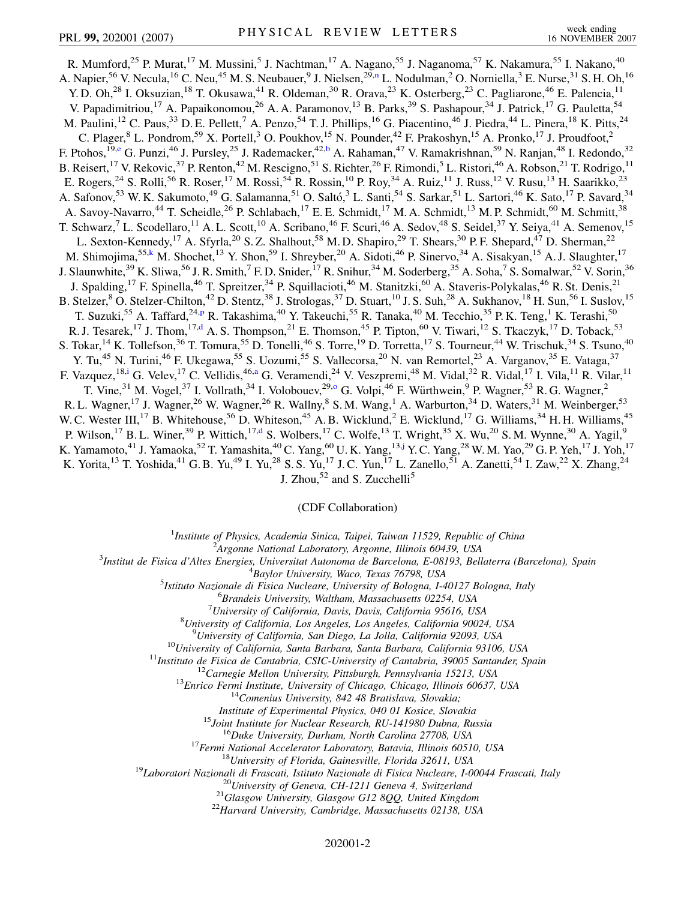<span id="page-3-4"></span><span id="page-3-3"></span><span id="page-3-1"></span>R. Mumford,<sup>25</sup> P. Murat,<sup>17</sup> M. Mussini,<sup>5</sup> J. Nachtman,<sup>17</sup> A. Nagano,<sup>55</sup> J. Naganoma,<sup>57</sup> K. Nakamura,<sup>55</sup> I. Nakano,<sup>40</sup> A. Napier,<sup>56</sup> V. Necula,<sup>16</sup> C. Neu,<sup>45</sup> M. S. Neubauer,<sup>9</sup> J. Nielse[n](#page-8-11),<sup>29,n</sup> L. Nodulman,<sup>2</sup> O. Norniella,<sup>3</sup> E. Nurse,<sup>31</sup> S. H. Oh,<sup>16</sup> Y. D. Oh,<sup>28</sup> I. Oksuzian,<sup>18</sup> T. Okusawa,<sup>41</sup> R. Oldeman,<sup>30</sup> R. Orava,<sup>23</sup> K. Osterberg,<sup>23</sup> C. Pagliarone,<sup>46</sup> E. Palencia,<sup>11</sup> V. Papadimitriou,<sup>17</sup> A. Papaikonomou,<sup>26</sup> A. A. Paramonov,<sup>13</sup> B. Parks,<sup>39</sup> S. Pashapour,<sup>34</sup> J. Patrick,<sup>17</sup> G. Pauletta,<sup>54</sup> M. Paulini,  $^{12}$  C. Paus,  $^{33}$  D. E. Pellett,  $^7$  A. Penzo,  $^{54}$  T. J. Phillips,  $^{16}$  G. Piacentino,  $^{46}$  J. Piedra,  $^{44}$  L. Pinera,  $^{18}$  K. Pitts,  $^{24}$ C. Plager, <sup>8</sup> L. Pondrom, <sup>59</sup> X. Portell, <sup>3</sup> O. Poukhov, <sup>15</sup> N. Pounder, <sup>42</sup> F. Prakoshyn, <sup>15</sup> A. Pronko, <sup>17</sup> J. Proudfoot, <sup>2</sup> F. Ptohos,<sup>19[,e](#page-8-12)</sup> G. Punzi,<sup>46</sup> J. Pursley,<sup>25</sup> J. Rademacker,<sup>42,[b](#page-8-6)</sup> A. Rahaman,<sup>47</sup> V. Ramakrishnan,<sup>59</sup> N. Ranjan,<sup>48</sup> I. Redondo,<sup>32</sup> B. Reisert, <sup>17</sup> V. Rekovic, <sup>37</sup> P. Renton, <sup>42</sup> M. Rescigno, <sup>51</sup> S. Richter, <sup>26</sup> F. Rimondi, <sup>5</sup> L. Ristori, <sup>46</sup> A. Robson, <sup>21</sup> T. Rodrigo, <sup>11</sup> E. Rogers,<sup>24</sup> S. Rolli,<sup>56</sup> R. Roser,<sup>17</sup> M. Rossi,<sup>54</sup> R. Rossin,<sup>10</sup> P. Roy,<sup>34</sup> A. Ruiz,<sup>11</sup> J. Russ,<sup>12</sup> V. Rusu,<sup>13</sup> H. Saarikko,<sup>23</sup> A. Safonov,<sup>53</sup> W. K. Sakumoto,<sup>49</sup> G. Salamanna,<sup>51</sup> O. Saltó,<sup>3</sup> L. Santi,<sup>54</sup> S. Sarkar,<sup>51</sup> L. Sartori,<sup>46</sup> K. Sato,<sup>17</sup> P. Savard,<sup>34</sup> A. Savoy-Navarro,<sup>44</sup> T. Scheidle,<sup>26</sup> P. Schlabach,<sup>17</sup> E. E. Schmidt,<sup>17</sup> M. A. Schmidt,<sup>13</sup> M. P. Schmidt,<sup>60</sup> M. Schmitt,<sup>38</sup> T. Schwarz,<sup>7</sup> L. Scodellaro,<sup>11</sup> A. L. Scott,<sup>10</sup> A. Scribano,<sup>46</sup> F. Scuri,<sup>46</sup> A. Sedov,<sup>48</sup> S. Seidel,<sup>37</sup> Y. Seiya,<sup>41</sup> A. Semenov,<sup>15</sup> L. Sexton-Kennedy,<sup>17</sup> A. Sfyrla,<sup>20</sup> S. Z. Shalhout,<sup>58</sup> M. D. Shapiro,<sup>29</sup> T. Shears,<sup>30</sup> P. F. Shepard,<sup>47</sup> D. Sherman,<sup>22</sup> M. Shimojima,<sup>55[,k](#page-8-13)</sup> M. Shochet,<sup>13</sup> Y. Shon,<sup>59</sup> I. Shreyber,<sup>20</sup> A. Sidoti,<sup>46</sup> P. Sinervo,<sup>34</sup> A. Sisakyan,<sup>15</sup> A. J. Slaughter,<sup>17</sup> J. Slaunwhite,  $39$  K. Sliwa,  $56$  J. R. Smith,  $^7$  F. D. Snider,  $^{17}$  R. Snihur,  $34$  M. Soderberg,  $35$  A. Soha,  $^7$  S. Somalwar,  $52$  V. Sorin,  $36$ J. Spalding,<sup>17</sup> F. Spinella,<sup>46</sup> T. Spreitzer,<sup>34</sup> P. Squillacioti,<sup>46</sup> M. Stanitzki,<sup>60</sup> A. Staveris-Polykalas,<sup>46</sup> R. St. Denis,<sup>21</sup> B. Stelzer,  $8$  O. Stelzer-Chilton,  $42$  D. Stentz,  $38$  J. Strologas,  $37$  D. Stuart,  $10$  J. S. Suh,  $28$  A. Sukhanov,  $18$  H. Sun,  $56$  I. Suslov,  $15$ T. Suzuki,<su[p](#page-8-14)>55</sup> A. Taffard,<sup>24,p</sup> R. Takashima,<sup>40</sup> Y. Takeuchi,<sup>55</sup> R. Tanaka,<sup>40</sup> M. Tecchio,<sup>35</sup> P. K. Teng,<sup>1</sup> K. Terashi,<sup>50</sup> R. J. Tesarek,<sup>17</sup> J. Thom,<sup>17,[d](#page-8-15)</sup> A. S. Thompson,<sup>21</sup> E. Thomson,<sup>45</sup> P. Tipton,<sup>60</sup> V. Tiwari,<sup>12</sup> S. Tkaczyk,<sup>17</sup> D. Toback,<sup>53</sup> S. Tokar, <sup>14</sup> K. Tollefson, <sup>36</sup> T. Tomura, <sup>55</sup> D. Tonelli, <sup>46</sup> S. Torre, <sup>19</sup> D. Torretta, <sup>17</sup> S. Tourneur, <sup>44</sup> W. Trischuk, <sup>34</sup> S. Tsuno, <sup>40</sup> Y. Tu,<sup>45</sup> N. Turini,<sup>46</sup> F. Ukegawa,<sup>55</sup> S. Uozumi,<sup>55</sup> S. Vallecorsa,<sup>20</sup> N. van Remortel,<sup>23</sup> A. Varganov,<sup>35</sup> E. Vataga,<sup>37</sup> F. Vazquez, <sup>18,[i](#page-8-1)</sup> G. Velev, <sup>17</sup> C. Vellidis, <sup>46,[a](#page-8-5)</sup> G. Veramendi, <sup>24</sup> V. Veszpremi, <sup>48</sup> M. Vidal, <sup>32</sup> R. Vidal, <sup>17</sup> I. Vila, <sup>11</sup> R. Vilar, <sup>11</sup> T. Vine,<sup>31</sup> M. Vogel,<sup>37</sup> I. Vollrath,<sup>34</sup> I. Volobouev,<sup>29,0</sup> G. Volpi,<sup>46</sup> F. Würthwein,<sup>9</sup> P. Wagner,<sup>53</sup> R. G. Wagner,<sup>2</sup> R. L. Wagner,<sup>17</sup> J. Wagner,<sup>26</sup> W. Wagner,<sup>26</sup> R. Wallny,<sup>8</sup> S. M. Wang,<sup>1</sup> A. Warburton,<sup>34</sup> D. Waters,<sup>31</sup> M. Weinberger,<sup>53</sup> W. C. Wester III,<sup>17</sup> B. Whitehouse,<sup>56</sup> D. Whiteson,<sup>45</sup> A. B. Wicklund,<sup>2</sup> E. Wicklund,<sup>17</sup> G. Williams,<sup>34</sup> H. H. Williams,<sup>45</sup> P. Wilson,<sup>17</sup> B. L. Winer,<sup>39</sup> P. Wittich,<sup>17,[d](#page-8-15)</sup> S. Wolbers,<sup>17</sup> C. Wolfe,<sup>13</sup> T. Wright,<sup>35</sup> X. Wu,<sup>20</sup> S. M. Wynne,<sup>30</sup> A. Yagil,<sup>9</sup> K. Yamamoto,<sup>41</sup> J. Yamaoka,<sup>52</sup> T. Yamashita,<sup>40</sup> C. Yang,<sup>60</sup> U.K. Yang,<sup>13[,j](#page-8-16)</sup> Y.C. Yang,<sup>28</sup> W.M. Yao,<sup>29</sup> G.P. Yeh,<sup>17</sup> J. Yoh,<sup>17</sup> K. Yorita,<sup>13</sup> T. Yoshida,<sup>41</sup> G. B. Yu,<sup>49</sup> I. Yu,<sup>28</sup> S. S. Yu,<sup>17</sup> J. C. Yun,<sup>17</sup> L. Zanello,<sup>51</sup> A. Zanetti,<sup>54</sup> I. Zaw,<sup>22</sup> X. Zhang,<sup>24</sup>

J. Zhou, $52$  and S. Zucchelli<sup>5</sup>

(CDF Collaboration)

<sup>1</sup>*Institute of Physics, Academia Sinica, Taipei, Taiwan 11529, Republic of China*<br><sup>2</sup><sup>2</sup>Arganne National Laboratory, Arganne, Illinois 60430, USA

<span id="page-3-5"></span><span id="page-3-2"></span><span id="page-3-0"></span>*Argonne National Laboratory, Argonne, Illinois 60439, USA*<br><sup>3</sup> Institut de Fisica d'Altes Energies, Universitat Autonoma de Barcelona, E 08103, Bell

*Institut de Fisica d'Altes Energies, Universitat Autonoma de Barcelona, E-08193, Bellaterra (Barcelona), Spain* <sup>4</sup> *Baylor University, Waco, Texas 76798, USA* <sup>5</sup>

*Istituto Nazionale di Fisica Nucleare, University of Bologna, I-40127 Bologna, Italy* <sup>6</sup>

*Brandeis University, Waltham, Massachusetts 02254, USA* <sup>7</sup>

*University of California, Davis, Davis, California 95616, USA* <sup>8</sup>

*University of California, Los Angeles, Los Angeles, California 90024, USA* <sup>9</sup>

<sup>10</sup>University of California, Santa Barbara, Santa Barbara, California 93106, USA<br><sup>11</sup>Instituto de Fisica de Cantabria, CSIC-University of Cantabria, 39005 Santander, Spain<br><sup>12</sup>Carnegie Mellon University, Pittsburgh, Penn

Institute of Experimental Physics, 040 01 Kosice, Slovakia<br><sup>15</sup>Joint Institute for Nuclear Research, RU-141980 Dubna, Russia<br><sup>16</sup>Duke University, Durham, North Carolina 27708, USA<br><sup>17</sup>Fermi National Accelerator Laboratory,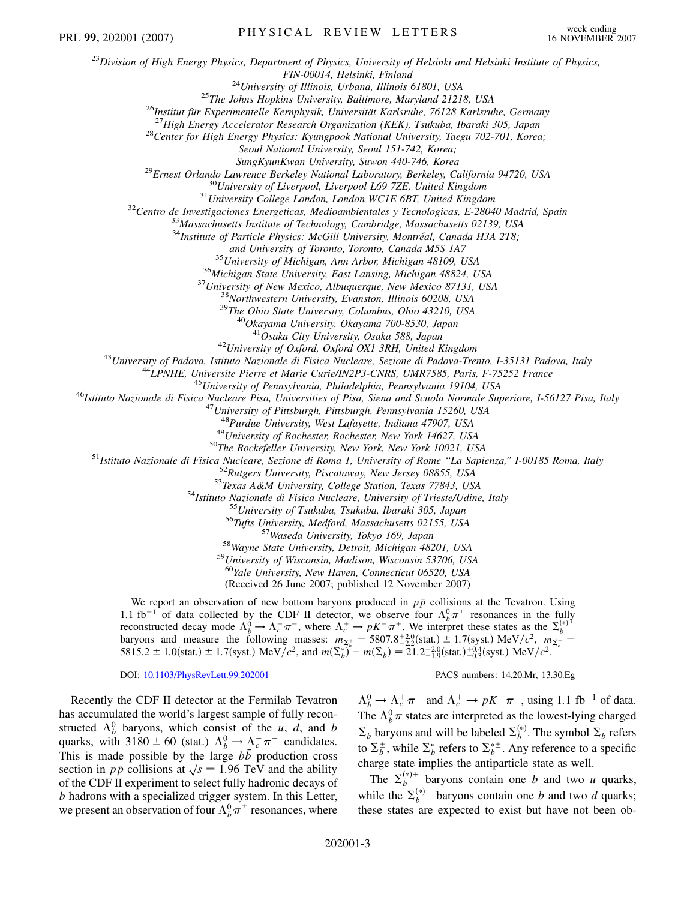<sup>23</sup>*Division of High Energy Physics, Department of Physics, University of Helsinki and Helsinki Institute of Physics,*  $FIN-00014, Helsinki, Finland$ <sup>24</sup>University of Illinois, Urbana, Illinois 61801, USA<br>
<sup>25</sup>The Johns Hopkins University, Baltimore, Maryland 21218, USA<br>
<sup>25</sup>The Johns Hopkins University, Baltimore, Maryland 21218, USA<br>
<sup>26</sup>Institut für *Seoul National University, Seoul 151-742, Korea;* SungKyunKwan University, Suwon 440-746, Korea<br><sup>29</sup>Ernest Orlando Lawrence Berkeley National Laboratory, Berkeley, California 94720, USA<br><sup>30</sup>University of Liverpool, Liverpool L69 7ZE, United Kingdom<br><sup>31</sup>University College <sup>34</sup>Institute of Particle Physics: McGill University, Montréal, Canada H3A 2T8; and University of Toronto, Toronto, Canada M5S 1A7<br><sup>35</sup> University of Michigan, Ann Arbor, Michigan 48109, USA<br><sup>36</sup> Michigan State University, East Lansing, Michigan 48824, USA<br><sup>37</sup> University of New Mexico, Albuquerque, N <sup>42</sup>University of Oxford, Oxford OX1 3RH, United Kingdom<br><sup>43</sup>University of Padova, Istituto Nazionale di Fisica Nucleare, Sezione di Padova-Trento, I-35131 Padova, Italy<br><sup>44</sup>LPNHE, Universite Pierre et Marie Curie/IN2P3-C <sup>48</sup>Purdue University, West Lafayette, Indiana 47907, USA<br><sup>49</sup>University of Rochester, Rochester, New York 14627, USA<br><sup>49</sup>University of Rochester, Rochester, New York 14627, USA<br><sup>51</sup>Istituto Nazionale di Fisica Nucleare, <sup>59</sup>University of Wisconsin, Madison, Wisconsin 53706, USA<br><sup>60</sup>Yale University, New Haven, Connecticut 06520, USA (Received 26 June 2007; published 12 November 2007) We report an observation of new bottom baryons produced in  $p\bar{p}$  collisions at the Tevatron. Using 1.1 fb<sup>-1</sup> of data collected by the CDF II detector, we observe four  $\Lambda_b^0 \pi^{\pm}$  resonances in the fully reconstructed decay mode  $\Lambda_b^0 \to \Lambda_c^+ \pi^-$ , where  $\Lambda_c^+ \to pK^- \pi^+$ . We interpret these states as the  $\Sigma_b^{(*)\pm}$ <br>baryons and measure the following masses:  $m_{\Sigma_c^+} = 5807.8^{+2.0}_{-2.2}$ (stat.)  $\pm 1.7$ (syst.) MeV/ $c^2$ ,  $m_{$ DOI: [10.1103/PhysRevLett.99.202001](http://dx.doi.org/10.1103/PhysRevLett.99.202001) PACS numbers: 14.20.Mr, 13.30.Eg PRL 99, 202001 (2007) PHYSICAL REVIEW LETTERS week ending

Recently the CDF II detector at the Fermilab Tevatron has accumulated the world's largest sample of fully reconstructed  $\Lambda_b^0$  baryons, which consist of the *u*, *d*, and *b* quarks, with  $3180 \pm 60$  (stat.)  $\Lambda_b^0 \rightarrow \Lambda_c^+ \pi^-$  candidates. This is made possible by the large  $b\bar{b}$  production cross This is made possible by the large *bb* production cross section in  $p\bar{p}$  collisions at  $\sqrt{s} = 1.96$  TeV and the ability of the CDF II experiment to select fully hadronic decays of *b* hadrons with a specialized trigger system. In this Letter, we present an observation of four  $\Lambda_b^0 \pi^{\pm}$  resonances, where

 $\Lambda_b^0 \to \Lambda_c^+ \pi^-$  and  $\Lambda_c^+ \to pK^- \pi^+$ , using 1.1 fb<sup>-1</sup> of data. The  $\Lambda_b^0 \pi$  states are interpreted as the lowest-lying charged  $\Sigma_b$  baryons and will be labeled  $\Sigma_b^{(*)}$ . The symbol  $\Sigma_b$  refers to  $\Sigma_b^{\pm}$ , while  $\Sigma_b^*$  refers to  $\Sigma_b^{*\pm}$ . Any reference to a specific charge state implies the antiparticle state as well.

The  $\Sigma_b^{(*)+}$  baryons contain one *b* and two *u* quarks, while the  $\Sigma_b^{(*)-}$  baryons contain one *b* and two *d* quarks; these states are expected to exist but have not been ob-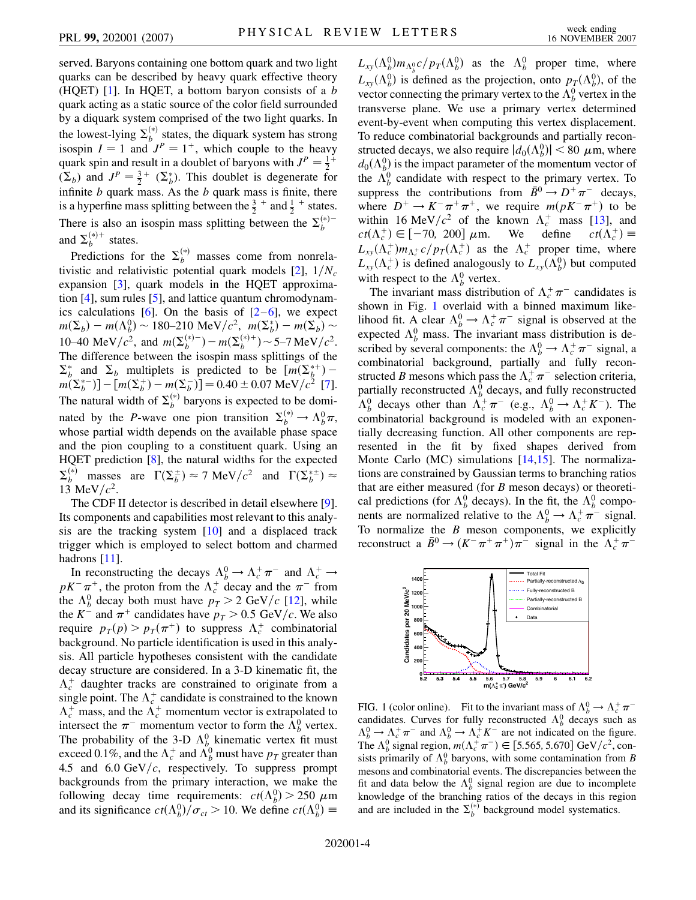served. Baryons containing one bottom quark and two light quarks can be described by heavy quark effective theory (HQET) [\[1\]](#page-8-17). In HQET, a bottom baryon consists of a *b* quark acting as a static source of the color field surrounded by a diquark system comprised of the two light quarks. In the lowest-lying  $\Sigma_b^{(*)}$  states, the diquark system has strong isospin  $I = 1$  and  $J<sup>P</sup> = 1<sup>+</sup>$ , which couple to the heavy quark spin and result in a doublet of baryons with  $J^P = \frac{1}{2}$  $(\Sigma_b)$  and  $J^P = \frac{3}{2}^+$   $(\Sigma_b^*)$ . This doublet is degenerate for infinite *b* quark mass. As the *b* quark mass is finite, there is a hyperfine mass splitting between the  $\frac{3}{2}$  + and  $\frac{1}{2}$  + states. There is also an isospin mass splitting between the  $\Sigma_b^{(*)-}$ and  $\Sigma_b^{(*)+}$  states.

Predictions for the  $\Sigma_b^{(*)}$  masses come from nonrelativistic and relativistic potential quark models  $[2]$ ,  $1/N_c$ expansion [\[3](#page-8-19)], quark models in the HQET approximation [\[4](#page-8-20)], sum rules [\[5](#page-8-21)], and lattice quantum chromodynamics calculations  $[6]$  $[6]$ . On the basis of  $[2-6]$  $[2-6]$  $[2-6]$  $[2-6]$ , we expect  $m(\Sigma_b) - m(\Lambda_b^0) \sim 180 - 210 \text{ MeV}/c^2$ ,  $m(\Sigma_b^*) - m(\Sigma_b) \sim$ 10–40 MeV/ $c^2$ , and  $m(\Sigma_b^{(*)-}) - m(\Sigma_b^{(*)+}) \sim 5-7 \text{ MeV}/c^2$ . The difference between the isospin mass splittings of the  $\sum_b^*$  and  $\sum_b$  multiplets is predicted to be  $\left[m(\sum_b^{*+})-1\right]$  $m(\Sigma_b^{*-})$ ] – [ $m(\Sigma_b^{+})$  –  $m(\Sigma_b^{-})$ ] = 0.40 ± 0.07 MeV/ $c^2$  [[7\]](#page-8-23). The natural width of  $\Sigma_b^{(*)}$  baryons is expected to be dominated by the *P*-wave one pion transition  $\Sigma_b^{(*)} \to \Lambda_b^0 \pi$ , whose partial width depends on the available phase space and the pion coupling to a constituent quark. Using an HQET prediction [[8\]](#page-8-24), the natural widths for the expected  $\Sigma_b^{(*)}$  masses are  $\Gamma(\Sigma_b^{\pm}) \approx 7 \text{ MeV}/c^2$  and  $\Gamma(\Sigma_b^{*\pm}) \approx$ 13 MeV/ $c^2$ .

The CDF II detector is described in detail elsewhere [[9\]](#page-8-25). Its components and capabilities most relevant to this analysis are the tracking system [[10](#page-8-26)] and a displaced track trigger which is employed to select bottom and charmed hadrons [[11\]](#page-8-27).

In reconstructing the decays  $\Lambda_b^0 \to \Lambda_c^+ \pi^-$  and  $\Lambda_c^+ \to$  $pK^-\pi^+$ , the proton from the  $\Lambda_c^+$  decay and the  $\pi^-$  from the  $\Lambda_b^0$  decay both must have  $p_T > 2$  GeV/c [[12\]](#page-8-28), while the  $K^-$  and  $\pi^+$  candidates have  $p_T > 0.5$  GeV/c. We also require  $p_T(p) > p_T(\pi^+)$  to suppress  $\Lambda_c^+$  combinatorial background. No particle identification is used in this analysis. All particle hypotheses consistent with the candidate decay structure are considered. In a 3-D kinematic fit, the  $\Lambda_c^+$  daughter tracks are constrained to originate from a single point. The  $\Lambda_c^+$  candidate is constrained to the known  $\Lambda_c^+$  mass, and the  $\Lambda_c^+$  momentum vector is extrapolated to intersect the  $\pi^-$  momentum vector to form the  $\Lambda_b^0$  vertex. The probability of the 3-D  $\Lambda_b^0$  kinematic vertex fit must exceed 0.1%, and the  $\Lambda_c^+$  and  $\tilde{\Lambda_b^0}$  must have  $p_T$  greater than 4.5 and  $6.0 \text{ GeV}/c$ , respectively. To suppress prompt backgrounds from the primary interaction, we make the following decay time requirements:  $ct(\Lambda_b^0) > 250 \mu \text{m}$ and its significance  $ct(\Lambda_b^0)/\sigma_{ct} > 10$ . We define  $ct(\Lambda_b^0) \equiv$ 

 $L_{xy}(\Lambda_b^0) m_{\Lambda_b^0} c / p_T(\Lambda_b^0)$  as the  $\Lambda_b^0$  proper time, where  $L_{xy}(\Lambda_b^0)$  is defined as the projection, onto  $p_T(\Lambda_b^0)$ , of the vector connecting the primary vertex to the  $\Lambda_b^0$  vertex in the transverse plane. We use a primary vertex determined event-by-event when computing this vertex displacement. To reduce combinatorial backgrounds and partially reconstructed decays, we also require  $|d_0(\Lambda_b^0)| < 80 \mu$ m, where  $d_0(\Lambda_b^0)$  is the impact parameter of the momentum vector of the  $\Lambda_b^0$  candidate with respect to the primary vertex. To suppress the contributions from  $\bar{B}^0 \rightarrow D^+ \pi^-$  decays, where  $D^+ \to K^- \pi^+ \pi^+$ , we require  $m(pK^- \pi^+)$  to be within 16 MeV/ $c^2$  of the known  $\Lambda_c^+$  mass [\[13\]](#page-8-29), and  $ct(\Lambda_c^+) \in [-70, 200] \mu \text{m}$ . We define  $ct(\Lambda_c^+) \equiv$  $L_{xy}(\Lambda_c^+)m_{\Lambda_c^+}c/p_T(\Lambda_c^+)$  as the  $\Lambda_c^+$  proper time, where  $L_{xy}(\Lambda_c^+)$  is defined analogously to  $L_{xy}(\Lambda_b^0)$  but computed

with respect to the  $\Lambda_b^0$  vertex. The invariant mass distribution of  $\Lambda_c^+ \pi^-$  candidates is shown in Fig. [1](#page-5-0) overlaid with a binned maximum likelihood fit. A clear  $\Lambda_b^0 \rightarrow \Lambda_c^+ \pi^-$  signal is observed at the expected  $\Lambda_b^0$  mass. The invariant mass distribution is described by several components: the  $\Lambda_b^0 \rightarrow \Lambda_c^+ \pi^-$  signal, a combinatorial background, partially and fully reconstructed *B* mesons which pass the  $\Lambda_c^+ \pi^-$  selection criteria, partially reconstructed  $\Lambda_b^0$  decays, and fully reconstructed  $\Lambda_b^0$  decays other than  $\Lambda_c^+ \pi^-$  (e.g.,  $\Lambda_b^0 \to \Lambda_c^+ K^-$ ). The combinatorial background is modeled with an exponentially decreasing function. All other components are represented in the fit by fixed shapes derived from Monte Carlo (MC) simulations [\[14](#page-8-30)[,15\]](#page-8-31). The normalizations are constrained by Gaussian terms to branching ratios that are either measured (for *B* meson decays) or theoretical predictions (for  $\Lambda_b^0$  decays). In the fit, the  $\Lambda_b^0$  components are normalized relative to the  $\Lambda_b^0 \to \Lambda_c^+ \pi^-$  signal. To normalize the *B* meson components, we explicitly reconstruct a  $\bar{B}^0 \to (K^- \pi^+ \pi^+) \pi^-$  signal in the  $\Lambda_c^+ \pi^-$ 

<span id="page-5-0"></span>

FIG. 1 (color online). Fit to the invariant mass of  $\Lambda_b^0 \to \Lambda_c^+ \pi^$ candidates. Curves for fully reconstructed  $\Lambda_b^0$  decays such as  $\Lambda_b^0 \rightarrow \Lambda_c^+ \pi^-$  and  $\Lambda_b^0 \rightarrow \Lambda_c^+ K^-$  are not indicated on the figure. The  $\Lambda_b^0$  signal region,  $m(\Lambda_c^+\pi^-) \in [5.565, 5.670] \text{ GeV}/c^2$ , consists primarily of  $\Lambda_b^0$  baryons, with some contamination from *B* mesons and combinatorial events. The discrepancies between the fit and data below the  $\Lambda_b^0$  signal region are due to incomplete knowledge of the branching ratios of the decays in this region and are included in the  $\Sigma_b^{(*)}$  background model systematics.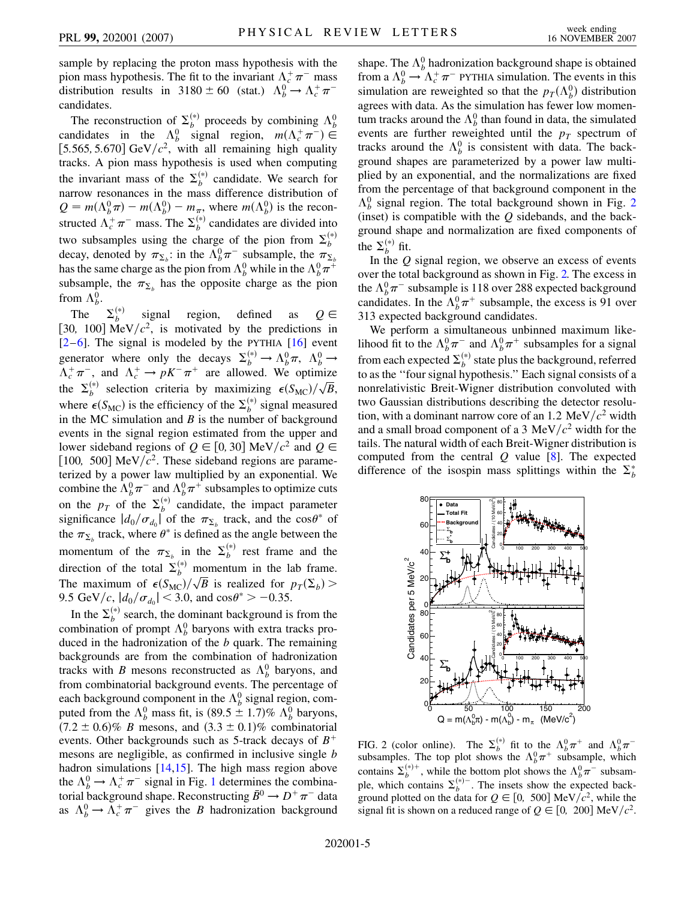sample by replacing the proton mass hypothesis with the pion mass hypothesis. The fit to the invariant  $\Lambda_c^+ \pi^-$  mass distribution results in  $3180 \pm 60$  (stat.)  $\Lambda_b^0 \rightarrow \Lambda_c^+ \pi^$ candidates.

The reconstruction of  $\Sigma_b^{(*)}$  proceeds by combining  $\Lambda_b^0$ candidates in the  $\Lambda_b^0$  signal region,  $m(\Lambda_c^+\pi^-) \in$ [5.565, 5.670]  $GeV/c^2$ , with all remaining high quality tracks. A pion mass hypothesis is used when computing the invariant mass of the  $\Sigma_b^{(*)}$  candidate. We search for narrow resonances in the mass difference distribution of  $Q = m(\Lambda_b^0 \pi) - m(\Lambda_b^0) - m_{\pi}$ , where  $m(\Lambda_b^0)$  is the reconstructed  $\Lambda_c^+ \pi^-$  mass. The  $\Sigma_b^{(*)}$  candidates are divided into two subsamples using the charge of the pion from  $\Sigma_b^{(*)}$ decay, denoted by  $\pi_{\Sigma_b}$ : in the  $\Lambda_b^0 \pi^-$  subsample, the  $\pi_{\Sigma_b}$ has the same charge as the pion from  $\Lambda_b^0$  while in the  $\Lambda_b^0 \pi^+$ subsample, the  $\pi_{\Sigma_h}$  has the opposite charge as the pion from  $\Lambda_b^0$ .

The  $\Sigma_b^{(*)}$ signal region, defined as  $Q \in$ [30, 100]  $\text{MeV}/c^2$ , is motivated by the predictions in  $[2-6]$  $[2-6]$  $[2-6]$  $[2-6]$ . The signal is modeled by the PYTHIA  $[16]$  event generator where only the decays  $\Sigma_b^{(*)} \to \Lambda_b^0 \pi$ ,  $\Lambda_b^0 \to$  $\Lambda_c^+ \pi^-$ , and  $\Lambda_c^+ \to pK^- \pi^+$  are allowed. We optimize the  $\Sigma_b^{(*)}$  selection criteria by maximizing  $\epsilon(S_{MC})/\sqrt{B}$ , where  $\epsilon(S_{MC})$  is the efficiency of the  $\Sigma_b^{(*)}$  signal measured in the MC simulation and *B* is the number of background events in the signal region estimated from the upper and lower sideband regions of  $Q \in [0, 30]$  MeV/ $c^2$  and  $Q \in$ [100, 500] MeV $/c<sup>2</sup>$ . These sideband regions are parameterized by a power law multiplied by an exponential. We combine the  $\Lambda_b^0 \pi^-$  and  $\Lambda_b^0 \pi^+$  subsamples to optimize cuts on the  $p_T$  of the  $\Sigma_b^{(*)}$  candidate, the impact parameter significance  $|d_0/\sigma_{d_0}|$  of the  $\pi_{\Sigma_b}$  track, and the cos $\theta^*$  of the  $\pi_{\Sigma_h}$  track, where  $\theta^*$  is defined as the angle between the momentum of the  $\pi_{\Sigma_b}$  in the  $\Sigma_b^{(*)}$  rest frame and the direction of the total  $\Sigma_b^{(*)}$  momentum in the lab frame. The maximum of  $\epsilon(S_{MC})/\sqrt{B}$  is realized for  $p_T(\Sigma_b)$ 9.5 GeV/c,  $|d_0/\sigma_{d_0}| < 3.0$ , and  $\cos \theta^* > -0.35$ .

In the  $\Sigma_b^{(*)}$  search, the dominant background is from the combination of prompt  $\Lambda_b^0$  baryons with extra tracks produced in the hadronization of the *b* quark. The remaining backgrounds are from the combination of hadronization tracks with *B* mesons reconstructed as  $\Lambda_b^0$  baryons, and from combinatorial background events. The percentage of each background component in the  $\Lambda_b^0$  signal region, computed from the  $\Lambda_b^0$  mass fit, is  $(89.5 \pm 1.7)\% \Lambda_b^0$  baryons,  $(7.2 \pm 0.6)\%$  *B* mesons, and  $(3.3 \pm 0.1)\%$  combinatorial events. Other backgrounds such as 5-track decays of *B* mesons are negligible, as confirmed in inclusive single *b* hadron simulations  $[14,15]$  $[14,15]$  $[14,15]$  $[14,15]$  $[14,15]$ . The high mass region above the  $\Lambda_b^0 \rightarrow \Lambda_c^+ \pi^-$  signal in Fig. [1](#page-5-0) determines the combinatorial background shape. Reconstructing  $\bar{B}^0 \to D^+ \pi^-$  data as  $\Lambda_b^0 \rightarrow \Lambda_c^+ \pi^-$  gives the *B* hadronization background

shape. The  $\Lambda_b^0$  hadronization background shape is obtained from a  $\Lambda_b^0 \rightarrow \Lambda_c^+ \pi^-$  PYTHIA simulation. The events in this simulation are reweighted so that the  $p_T(\Lambda_b^0)$  distribution agrees with data. As the simulation has fewer low momentum tracks around the  $\Lambda_b^0$  than found in data, the simulated events are further reweighted until the  $p_T$  spectrum of tracks around the  $\Lambda_b^0$  is consistent with data. The background shapes are parameterized by a power law multiplied by an exponential, and the normalizations are fixed from the percentage of that background component in the  $\Lambda_b^0$  signal region. The total background shown in Fig. [2](#page-6-0) (inset) is compatible with the *Q* sidebands, and the background shape and normalization are fixed components of the  $\Sigma_b^{(*)}$  fit.

In the *Q* signal region, we observe an excess of events over the total background as shown in Fig. [2.](#page-6-0) The excess in the  $\Lambda_b^0 \pi^-$  subsample is 118 over 288 expected background candidates. In the  $\Lambda_b^0 \pi^+$  subsample, the excess is 91 over 313 expected background candidates.

We perform a simultaneous unbinned maximum likelihood fit to the  $\Lambda_b^0 \pi^-$  and  $\Lambda_b^0 \pi^+$  subsamples for a signal from each expected  $\Sigma_b^{(*)}$  state plus the background, referred to as the ''four signal hypothesis.'' Each signal consists of a nonrelativistic Breit-Wigner distribution convoluted with two Gaussian distributions describing the detector resolution, with a dominant narrow core of an 1.2 MeV $/c^2$  width and a small broad component of a 3 MeV $/c^2$  width for the tails. The natural width of each Breit-Wigner distribution is computed from the central *Q* value [\[8\]](#page-8-24). The expected difference of the isospin mass splittings within the  $\Sigma_b^*$ 

<span id="page-6-0"></span>

FIG. 2 (color online). The  $\Sigma_b^{(*)}$  fit to the  $\Lambda_b^0 \pi^+$  and  $\Lambda_b^0 \pi^-$  subsamples. The top plot shows the  $\Lambda_b^0 \pi^+$  subsample, which contains  $\Sigma_b^{(*)+}$ , while the bottom plot shows the  $\Lambda_b^0 \pi^-$  subsample, which contains  $\Sigma_b^{(*)-}$ . The insets show the expected background plotted on the data for  $Q \in [0, 500]$  MeV/ $c^2$ , while the signal fit is shown on a reduced range of  $Q \in [0, 200] \text{ MeV}/c^2$ .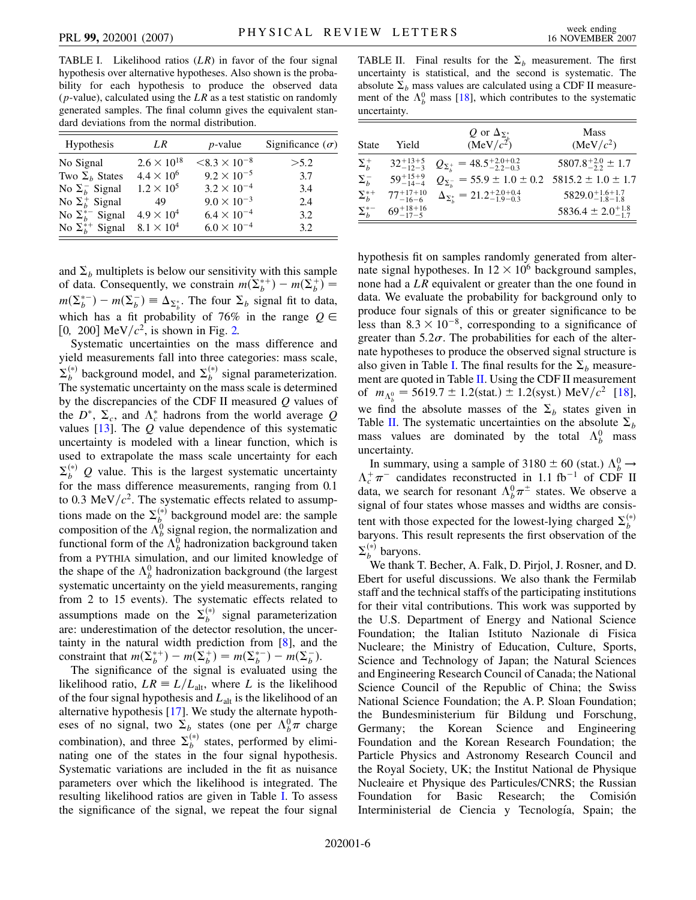<span id="page-7-0"></span>TABLE I. Likelihood ratios (*LR*) in favor of the four signal hypothesis over alternative hypotheses. Also shown is the probability for each hypothesis to produce the observed data (*p*-value), calculated using the *LR* as a test statistic on randomly generated samples. The final column gives the equivalent standard deviations from the normal distribution.

| <b>Hypothesis</b>         | LR.                  | $p$ -value             | Significance $(\sigma)$ |
|---------------------------|----------------------|------------------------|-------------------------|
| No Signal                 | $2.6 \times 10^{18}$ | $< 8.3 \times 10^{-8}$ | > 5.2                   |
| Two $\Sigma_b$ States     | $4.4 \times 10^{6}$  | $9.2 \times 10^{-5}$   | 3.7                     |
| No $\Sigma_h^-$ Signal    | $1.2 \times 10^5$    | $3.2 \times 10^{-4}$   | 3.4                     |
| No $\Sigma_h^+$ Signal    | 49                   | $9.0 \times 10^{-3}$   | 2.4                     |
| No $\Sigma_h^{*-}$ Signal | $4.9 \times 10^{4}$  | $6.4 \times 10^{-4}$   | 3.2                     |
| No $\Sigma_h^{*+}$ Signal | $8.1 \times 10^4$    | $6.0 \times 10^{-4}$   | 3.2                     |

and  $\Sigma_b$  multiplets is below our sensitivity with this sample of data. Consequently, we constrain  $m(\Sigma_b^{*+}) - m(\Sigma_b^+) =$  $m(\Sigma_b^{*-}) - m(\Sigma_b^{-}) \equiv \Delta_{\Sigma_b^*}$ . The four  $\Sigma_b$  signal fit to data, which has a fit probability of 76% in the range  $Q \in$ [0, 200]  $\text{MeV}/c^2$ , is shown in Fig. [2.](#page-6-0)

Systematic uncertainties on the mass difference and yield measurements fall into three categories: mass scale,  $\Sigma_b^{(*)}$  background model, and  $\Sigma_b^{(*)}$  signal parameterization. The systematic uncertainty on the mass scale is determined by the discrepancies of the CDF II measured *Q* values of the  $D^*$ ,  $\Sigma_c$ , and  $\Lambda_c^*$  hadrons from the world average Q values [\[13\]](#page-8-29). The *Q* value dependence of this systematic uncertainty is modeled with a linear function, which is used to extrapolate the mass scale uncertainty for each  $\Sigma_b^{(*)}$  *Q* value. This is the largest systematic uncertainty for the mass difference measurements, ranging from 0.1 to 0.3 MeV $/c<sup>2</sup>$ . The systematic effects related to assumptions made on the  $\Sigma_b^{(*)}$  background model are: the sample composition of the  $\Lambda_b^0$  signal region, the normalization and functional form of the  $\Lambda_b^0$  hadronization background taken from a PYTHIA simulation, and our limited knowledge of the shape of the  $\Lambda_b^0$  hadronization background (the largest systematic uncertainty on the yield measurements, ranging from 2 to 15 events). The systematic effects related to assumptions made on the  $\Sigma_b^{(*)}$  signal parameterization are: underestimation of the detector resolution, the uncertainty in the natural width prediction from [[8\]](#page-8-24), and the constraint that  $m(\Sigma_b^{*+}) - m(\Sigma_b^{+}) = m(\Sigma_b^{*-}) - m(\Sigma_b^{-})$ .

The significance of the signal is evaluated using the likelihood ratio,  $LR = L/L_{\text{alt}}$ , where *L* is the likelihood of the four signal hypothesis and *L*alt is the likelihood of an alternative hypothesis [\[17\]](#page-8-33). We study the alternate hypotheses of no signal, two  $\Sigma_b$  states (one per  $\Lambda_b^0 \pi$  charge combination), and three  $\Sigma_b^{(*)}$  states, performed by eliminating one of the states in the four signal hypothesis. Systematic variations are included in the fit as nuisance parameters over which the likelihood is integrated. The resulting likelihood ratios are given in Table [I.](#page-7-0) To assess the significance of the signal, we repeat the four signal

<span id="page-7-1"></span>TABLE II. Final results for the  $\Sigma_b$  measurement. The first uncertainty is statistical, and the second is systematic. The absolute  $\Sigma_b$  mass values are calculated using a CDF II measurement of the  $\Lambda_b^0$  mass [[18](#page-8-34)], which contributes to the systematic uncertainty.

| <b>State</b>    | Yield                 | Q or $\Delta_{\Sigma_{\iota}^*}$<br>$(MeV/c^2)$        | <b>Mass</b><br>(MeV/c <sup>2</sup> ) |
|-----------------|-----------------------|--------------------------------------------------------|--------------------------------------|
| $\Sigma_b^+$    | $32^{+13+5}_{-12-3}$  | $Q_{\Sigma_{t}^{+}} = 48.5^{+2.0+0.2}_{-2.2-0.3}$      | $5807.8^{+2.0}_{-2.2} \pm 1.7$       |
| $\Sigma_b^-$    | $59^{+15+9}_{-14-4}$  | $Q_{\Sigma}$ = 55.9 ± 1.0 ± 0.2 5815.2 ± 1.0 ± 1.7     |                                      |
| $\Sigma_b^{*+}$ | $77^{+17+10}_{-16-6}$ | $\Delta_{\Sigma_{i}^{*}} = 21.2^{+2.0+0.4}_{-1.9-0.3}$ | $5829.0^{+1.6+1.7}_{-1.8-1.8}$       |
| $\Sigma_h^{*-}$ | $69^{+18+16}_{-17-5}$ |                                                        | 5836.4 $\pm$ 2.0 <sup>+1.8</sup>     |

hypothesis fit on samples randomly generated from alternate signal hypotheses. In  $12 \times 10^6$  background samples, none had a *LR* equivalent or greater than the one found in data. We evaluate the probability for background only to produce four signals of this or greater significance to be less than  $8.3 \times 10^{-8}$ , corresponding to a significance of greater than  $5.2\sigma$ . The probabilities for each of the alternate hypotheses to produce the observed signal structure is also given in Table [I](#page-7-0). The final results for the  $\Sigma_b$  measure-ment are quoted in Table [II](#page-7-1). Using the CDF II measurement of  $m_{\Lambda_b^0} = 5619.7 \pm 1.2$ (stat.)  $\pm 1.2$ (syst.) MeV/ $c^2$  [[18\]](#page-8-34), we find the absolute masses of the  $\Sigma_b$  states given in Table [II.](#page-7-1) The systematic uncertainties on the absolute  $\Sigma_b$ mass values are dominated by the total  $\Lambda_b^0$  mass uncertainty.

In summary, using a sample of  $3180 \pm 60$  (stat.)  $\Lambda_b^0 \rightarrow$  $\Lambda_c^+ \pi^-$  candidates reconstructed in 1.1 fb<sup>-1</sup> of CDF II data, we search for resonant  $\Lambda_b^0 \pi^{\pm}$  states. We observe a signal of four states whose masses and widths are consistent with those expected for the lowest-lying charged  $\Sigma_b^{(*)}$ baryons. This result represents the first observation of the  $\Sigma_b^{(*)}$  baryons.

We thank T. Becher, A. Falk, D. Pirjol, J. Rosner, and D. Ebert for useful discussions. We also thank the Fermilab staff and the technical staffs of the participating institutions for their vital contributions. This work was supported by the U.S. Department of Energy and National Science Foundation; the Italian Istituto Nazionale di Fisica Nucleare; the Ministry of Education, Culture, Sports, Science and Technology of Japan; the Natural Sciences and Engineering Research Council of Canada; the National Science Council of the Republic of China; the Swiss National Science Foundation; the A. P. Sloan Foundation; the Bundesministerium für Bildung und Forschung, Germany; the Korean Science and Engineering Foundation and the Korean Research Foundation; the Particle Physics and Astronomy Research Council and the Royal Society, UK; the Institut National de Physique Nucleaire et Physique des Particules/CNRS; the Russian Foundation for Basic Research; the Comisión Interministerial de Ciencia y Tecnología, Spain; the